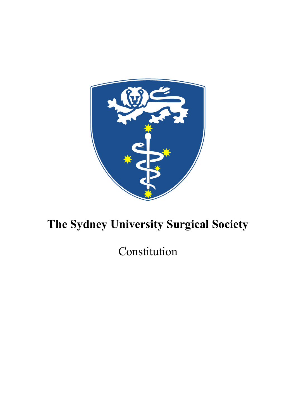

# **The Sydney University Surgical Society**

Constitution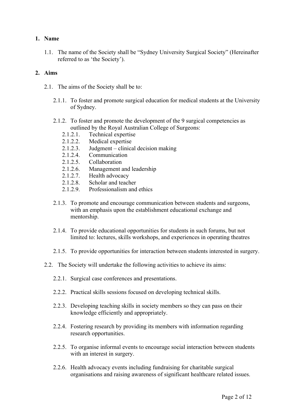# **1. Name**

1.1. The name of the Society shall be "Sydney University Surgical Society" (Hereinafter referred to as 'the Society').

### **2. Aims**

- 2.1. The aims of the Society shall be to:
	- 2.1.1. To foster and promote surgical education for medical students at the University of Sydney.
	- 2.1.2. To foster and promote the development of the 9 surgical competencies as outlined by the Royal Australian College of Surgeons:
		- 2.1.2.1. Technical expertise
		- 2.1.2.2. Medical expertise
		- 2.1.2.3. Judgment clinical decision making
		- 2.1.2.4. Communication
		- 2.1.2.5. Collaboration
		- 2.1.2.6. Management and leadership
		- 2.1.2.7. Health advocacy
		- 2.1.2.8. Scholar and teacher
		- 2.1.2.9 Professionalism and ethics
	- 2.1.3. To promote and encourage communication between students and surgeons, with an emphasis upon the establishment educational exchange and mentorship.
	- 2.1.4. To provide educational opportunities for students in such forums, but not limited to: lectures, skills workshops, and experiences in operating theatres
	- 2.1.5. To provide opportunities for interaction between students interested in surgery.
- 2.2. The Society will undertake the following activities to achieve its aims:
	- 2.2.1. Surgical case conferences and presentations.
	- 2.2.2. Practical skills sessions focused on developing technical skills.
	- 2.2.3. Developing teaching skills in society members so they can pass on their knowledge efficiently and appropriately.
	- 2.2.4. Fostering research by providing its members with information regarding research opportunities.
	- 2.2.5. To organise informal events to encourage social interaction between students with an interest in surgery.
	- 2.2.6. Health advocacy events including fundraising for charitable surgical organisations and raising awareness of significant healthcare related issues.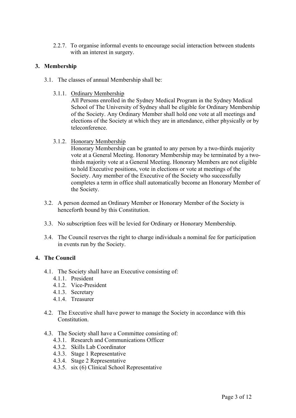2.2.7. To organise informal events to encourage social interaction between students with an interest in surgery.

### **3. Membership**

- 3.1. The classes of annual Membership shall be:
	- 3.1.1. Ordinary Membership

All Persons enrolled in the Sydney Medical Program in the Sydney Medical School of The University of Sydney shall be eligible for Ordinary Membership of the Society. Any Ordinary Member shall hold one vote at all meetings and elections of the Society at which they are in attendance, either physically or by teleconference.

3.1.2. Honorary Membership

Honorary Membership can be granted to any person by a two-thirds majority vote at a General Meeting. Honorary Membership may be terminated by a twothirds majority vote at a General Meeting. Honorary Members are not eligible to hold Executive positions, vote in elections or vote at meetings of the Society. Any member of the Executive of the Society who successfully completes a term in office shall automatically become an Honorary Member of the Society.

- 3.2. A person deemed an Ordinary Member or Honorary Member of the Society is henceforth bound by this Constitution.
- 3.3. No subscription fees will be levied for Ordinary or Honorary Membership.
- 3.4. The Council reserves the right to charge individuals a nominal fee for participation in events run by the Society.

# **4. The Council**

- 4.1. The Society shall have an Executive consisting of:
	- 4.1.1. President
	- 4.1.2. Vice-President
	- 4.1.3. Secretary
	- 4.1.4 Treasurer
- 4.2. The Executive shall have power to manage the Society in accordance with this **Constitution**
- 4.3. The Society shall have a Committee consisting of:
	- 4.3.1. Research and Communications Officer
	- 4.3.2. Skills Lab Coordinator
	- 4.3.3. Stage 1 Representative
	- 4.3.4. Stage 2 Representative
	- 4.3.5. six (6) Clinical School Representative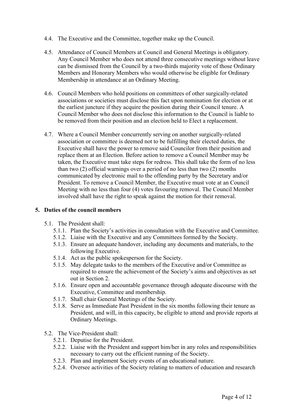- 4.4. The Executive and the Committee, together make up the Council.
- 4.5. Attendance of Council Members at Council and General Meetings is obligatory. Any Council Member who does not attend three consecutive meetings without leave can be dismissed from the Council by a two-thirds majority vote of those Ordinary Members and Honorary Members who would otherwise be eligible for Ordinary Membership in attendance at an Ordinary Meeting.
- 4.6. Council Members who hold positions on committees of other surgically-related associations or societies must disclose this fact upon nomination for election or at the earliest juncture if they acquire the position during their Council tenure. A Council Member who does not disclose this information to the Council is liable to be removed from their position and an election held to Elect a replacement.
- 4.7. Where a Council Member concurrently serving on another surgically-related association or committee is deemed not to be fulfilling their elected duties, the Executive shall have the power to remove said Councilor from their position and replace them at an Election. Before action to remove a Council Member may be taken, the Executive must take steps for redress. This shall take the form of no less than two (2) official warnings over a period of no less than two (2) months communicated by electronic mail to the offending party by the Secretary and/or President. To remove a Council Member, the Executive must vote at an Council Meeting with no less than four (4) votes favouring removal. The Council Member involved shall have the right to speak against the motion for their removal.

### **5. Duties of the council members**

- 5.1. The President shall:
	- 5.1.1. Plan the Society's activities in consultation with the Executive and Committee.
	- 5.1.2. Liaise with the Executive and any Committees formed by the Society.
	- 5.1.3. Ensure an adequate handover, including any documents and materials, to the following Executive.
	- 5.1.4. Act as the public spokesperson for the Society.
	- 5.1.5. May delegate tasks to the members of the Executive and/or Committee as required to ensure the achievement of the Society's aims and objectives as set out in Section 2.
	- 5.1.6. Ensure open and accountable governance through adequate discourse with the Executive, Committee and membership.
	- 5.1.7. Shall chair General Meetings of the Society.
	- 5.1.8. Serve as Immediate Past President in the six months following their tenure as President, and will, in this capacity, be eligible to attend and provide reports at Ordinary Meetings.
- 5.2. The Vice-President shall:
	- 5.2.1. Deputise for the President.
	- 5.2.2. Liaise with the President and support him/her in any roles and responsibilities necessary to carry out the efficient running of the Society.
	- 5.2.3. Plan and implement Society events of an educational nature.
	- 5.2.4. Oversee activities of the Society relating to matters of education and research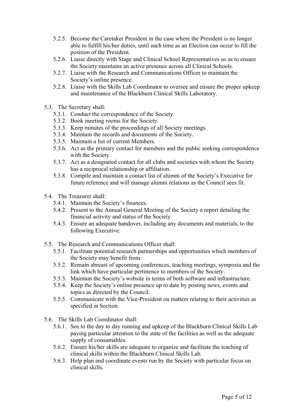- 5.2.5. Become the Caretaker President in the case where the President is no longer able to fulfill his/her duties, until such time as an Election can occur to fill the position of the President.
- 5.2.6. Liaise directly with Stage and Clinical School Representatives so as to ensure the Society maintains an active presence across all Clinical Schools.
- 5.2.7. Liaise with the Research and Communications Officer to maintain the Society's online presence.
- 5.2.8. Liaise with the Skills Lab Coordinator to oversee and ensure the proper upkeep and maintenance of the Blackburn Clinical Skills Laboratory.
- 5.3. The Secretary shall:
	- 5.3.1. Conduct the correspondence of the Society.
	- 5.3.2. Book meeting rooms for the Society.
	- 5.3.3. Keep minutes of the proceedings of all Society meetings.
	- 5.3.4. Maintain the records and documents of the Society.
	- 5.3.5. Maintain a list of current Members.
	- 5.3.6. Act as the primary contact for members and the public seeking correspondence with the Society.
	- 5.3.7. Act as a designated contact for all clubs and societies with whom the Society has a reciprocal relationship or affiliation.
	- 5.3.8. Compile and maintain a contact list of alumni of the Society's Executive for future reference and will manage alumni relations as the Council sees fit.
- 5.4. The Treasurer shall:
	- 5.4.1. Maintain the Society's finances.
	- 5.4.2. Present to the Annual General Meeting of the Society a report detailing the financial activity and status of the Society.
	- 5.4.3. Ensure an adequate handover, including any documents and materials, to the following Executive.
- 5.5. The Research and Communications Officer shall:
	- 5.5.1. Facilitate potential research partnerships and opportunities which members of the Society may benefit from.
	- 5.5.2. Remain abreast of upcoming conferences, teaching meetings, symposia and the link which have particular pertinence to members of the Society.
	- 5.5.3. Maintain the Society's website in terms of both software and infrastructure.
	- 5.5.4. Keep the Society's online presence up to date by posting news, events and topics as directed by the Council.
	- 5.5.5. Communicate with the Vice-President on matters relating to their activities as specified in Section.
- 5.6. The Skills Lab Coordinator shall:
	- 5.6.1. See to the day to day running and upkeep of the Blackburn Clinical Skills Lab paying particular attention to the state of the facilities as well as the adequate supply of consumables.
	- 5.6.2. Ensure his/her skills are adequate to organize and facilitate the teaching of clinical skills within the Blackburn Clinical Skills Lab.
	- 5.6.3. Help plan and coordinate events run by the Society with particular focus on clinical skills.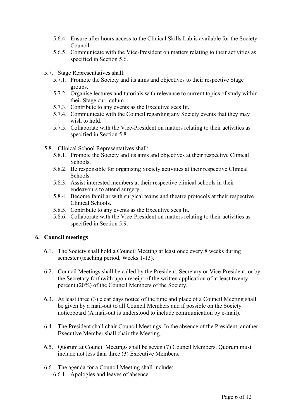- 5.6.4. Ensure after hours access to the Clinical Skills Lab is available for the Society Council.
- 5.6.5. Communicate with the Vice-President on matters relating to their activities as specified in Section 5.6.
- 5.7. Stage Representatives shall:
	- 5.7.1. Promote the Society and its aims and objectives to their respective Stage groups.
	- 5.7.2. Organise lectures and tutorials with relevance to current topics of study within their Stage curriculum.
	- 5.7.3. Contribute to any events as the Executive sees fit.
	- 5.7.4. Communicate with the Council regarding any Society events that they may wish to hold.
	- 5.7.5. Collaborate with the Vice-President on matters relating to their activities as specified in Section 5.8.
- 5.8. Clinical School Representatives shall:
	- 5.8.1. Promote the Society and its aims and objectives at their respective Clinical Schools.
	- 5.8.2. Be responsible for organising Society activities at their respective Clinical Schools.
	- 5.8.3. Assist interested members at their respective clinical schools in their endeavours to attend surgery.
	- 5.8.4. Become familiar with surgical teams and theatre protocols at their respective Clinical Schools.
	- 5.8.5. Contribute to any events as the Executive sees fit.
	- 5.8.6. Collaborate with the Vice-President on matters relating to their activities as specified in Section 5.9.

# **6. Council meetings**

- 6.1. The Society shall hold a Council Meeting at least once every 8 weeks during semester (teaching period, Weeks 1-13).
- 6.2. Council Meetings shall be called by the President, Secretary or Vice-President, or by the Secretary forthwith upon receipt of the written application of at least twenty percent (20%) of the Council Members of the Society.
- 6.3. At least three (3) clear days notice of the time and place of a Council Meeting shall be given by a mail-out to all Council Members and if possible on the Society noticeboard (A mail-out is understood to include communication by e-mail).
- 6.4. The President shall chair Council Meetings. In the absence of the President, another Executive Member shall chair the Meeting.
- 6.5. Quorum at Council Meetings shall be seven (7) Council Members. Quorum must include not less than three (3) Executive Members.
- 6.6. The agenda for a Council Meeting shall include: 6.6.1. Apologies and leaves of absence.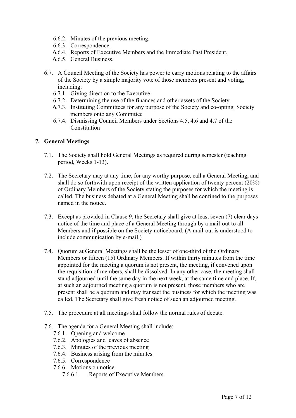- 6.6.2. Minutes of the previous meeting.
- 6.6.3. Correspondence.
- 6.6.4. Reports of Executive Members and the Immediate Past President.
- 6.6.5. General Business.
- 6.7. A Council Meeting of the Society has power to carry motions relating to the affairs of the Society by a simple majority vote of those members present and voting, including:
	- 6.7.1. Giving direction to the Executive
	- 6.7.2. Determining the use of the finances and other assets of the Society.
	- 6.7.3. Instituting Committees for any purpose of the Society and co-opting Society members onto any Committee
	- 6.7.4. Dismissing Council Members under Sections 4.5, 4.6 and 4.7 of the Constitution

### **7. General Meetings**

- 7.1. The Society shall hold General Meetings as required during semester (teaching period, Weeks 1-13).
- 7.2. The Secretary may at any time, for any worthy purpose, call a General Meeting, and shall do so forthwith upon receipt of the written application of twenty percent (20%) of Ordinary Members of the Society stating the purposes for which the meeting is called. The business debated at a General Meeting shall be confined to the purposes named in the notice.
- 7.3. Except as provided in Clause 9, the Secretary shall give at least seven (7) clear days notice of the time and place of a General Meeting through by a mail-out to all Members and if possible on the Society noticeboard. (A mail-out is understood to include communication by e-mail.)
- 7.4. Quorum at General Meetings shall be the lesser of one-third of the Ordinary Members or fifteen (15) Ordinary Members. If within thirty minutes from the time appointed for the meeting a quorum is not present, the meeting, if convened upon the requisition of members, shall be dissolved. In any other case, the meeting shall stand adjourned until the same day in the next week, at the same time and place. If, at such an adjourned meeting a quorum is not present, those members who are present shall be a quorum and may transact the business for which the meeting was called. The Secretary shall give fresh notice of such an adjourned meeting.
- 7.5. The procedure at all meetings shall follow the normal rules of debate.
- 7.6. The agenda for a General Meeting shall include:
	- 7.6.1. Opening and welcome
	- 7.6.2. Apologies and leaves of absence
	- 7.6.3. Minutes of the previous meeting
	- 7.6.4. Business arising from the minutes
	- 7.6.5. Correspondence
	- 7.6.6. Motions on notice
		- 7.6.6.1. Reports of Executive Members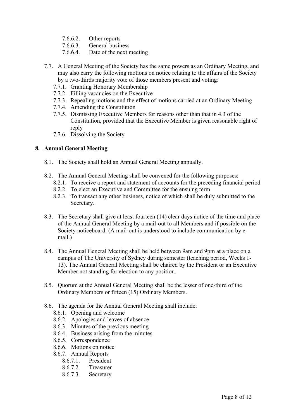- 7.6.6.2. Other reports
- 7.6.6.3. General business
- 7.6.6.4. Date of the next meeting
- 7.7. A General Meeting of the Society has the same powers as an Ordinary Meeting, and may also carry the following motions on notice relating to the affairs of the Society by a two-thirds majority vote of those members present and voting:
	- 7.7.1. Granting Honorary Membership
	- 7.7.2. Filling vacancies on the Executive
	- 7.7.3. Repealing motions and the effect of motions carried at an Ordinary Meeting
	- 7.7.4. Amending the Constitution
	- 7.7.5. Dismissing Executive Members for reasons other than that in 4.3 of the Constitution, provided that the Executive Member is given reasonable right of reply
	- 7.7.6. Dissolving the Society

### **8. Annual General Meeting**

- 8.1. The Society shall hold an Annual General Meeting annually.
- 8.2. The Annual General Meeting shall be convened for the following purposes:
	- 8.2.1. To receive a report and statement of accounts for the preceding financial period
	- 8.2.2. To elect an Executive and Committee for the ensuing term
	- 8.2.3. To transact any other business, notice of which shall be duly submitted to the Secretary.
- 8.3. The Secretary shall give at least fourteen (14) clear days notice of the time and place of the Annual General Meeting by a mail-out to all Members and if possible on the Society noticeboard. (A mail-out is understood to include communication by email.)
- 8.4. The Annual General Meeting shall be held between 9am and 9pm at a place on a campus of The University of Sydney during semester (teaching period, Weeks 1- 13). The Annual General Meeting shall be chaired by the President or an Executive Member not standing for election to any position.
- 8.5. Quorum at the Annual General Meeting shall be the lesser of one-third of the Ordinary Members or fifteen (15) Ordinary Members.
- 8.6. The agenda for the Annual General Meeting shall include:
	- 8.6.1. Opening and welcome
	- 8.6.2. Apologies and leaves of absence
	- 8.6.3. Minutes of the previous meeting
	- 8.6.4. Business arising from the minutes
	- 8.6.5. Correspondence
	- 8.6.6. Motions on notice
	- 8.6.7. Annual Reports
		- 8.6.7.1. President
		- 8.6.7.2. Treasurer
		- 8.6.7.3. Secretary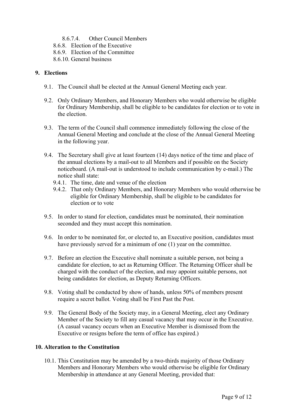- 8.6.7.4. Other Council Members
- 8.6.8. Election of the Executive
- 8.6.9. Election of the Committee
- 8.6.10. General business

# **9. Elections**

- 9.1. The Council shall be elected at the Annual General Meeting each year.
- 9.2. Only Ordinary Members, and Honorary Members who would otherwise be eligible for Ordinary Membership, shall be eligible to be candidates for election or to vote in the election.
- 9.3. The term of the Council shall commence immediately following the close of the Annual General Meeting and conclude at the close of the Annual General Meeting in the following year.
- 9.4. The Secretary shall give at least fourteen (14) days notice of the time and place of the annual elections by a mail-out to all Members and if possible on the Society noticeboard. (A mail-out is understood to include communication by e-mail.) The notice shall state:
	- 9.4.1. The time, date and venue of the election
	- 9.4.2. That only Ordinary Members, and Honorary Members who would otherwise be eligible for Ordinary Membership, shall be eligible to be candidates for election or to vote
- 9.5. In order to stand for election, candidates must be nominated, their nomination seconded and they must accept this nomination.
- 9.6. In order to be nominated for, or elected to, an Executive position, candidates must have previously served for a minimum of one (1) year on the committee.
- 9.7. Before an election the Executive shall nominate a suitable person, not being a candidate for election, to act as Returning Officer. The Returning Officer shall be charged with the conduct of the election, and may appoint suitable persons, not being candidates for election, as Deputy Returning Officers.
- 9.8. Voting shall be conducted by show of hands, unless 50% of members present require a secret ballot. Voting shall be First Past the Post.
- 9.9. The General Body of the Society may, in a General Meeting, elect any Ordinary Member of the Society to fill any casual vacancy that may occur in the Executive. (A casual vacancy occurs when an Executive Member is dismissed from the Executive or resigns before the term of office has expired.)

# **10. Alteration to the Constitution**

10.1. This Constitution may be amended by a two-thirds majority of those Ordinary Members and Honorary Members who would otherwise be eligible for Ordinary Membership in attendance at any General Meeting, provided that: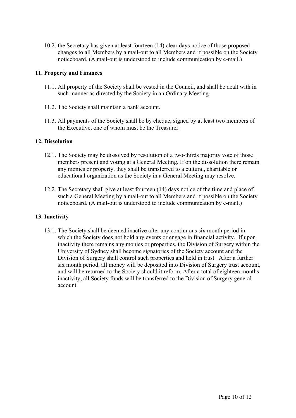10.2. the Secretary has given at least fourteen (14) clear days notice of those proposed changes to all Members by a mail-out to all Members and if possible on the Society noticeboard. (A mail-out is understood to include communication by e-mail.)

### **11. Property and Finances**

- 11.1. All property of the Society shall be vested in the Council, and shall be dealt with in such manner as directed by the Society in an Ordinary Meeting.
- 11.2. The Society shall maintain a bank account.
- 11.3. All payments of the Society shall be by cheque, signed by at least two members of the Executive, one of whom must be the Treasurer.

#### **12. Dissolution**

- 12.1. The Society may be dissolved by resolution of a two-thirds majority vote of those members present and voting at a General Meeting. If on the dissolution there remain any monies or property, they shall be transferred to a cultural, charitable or educational organization as the Society in a General Meeting may resolve.
- 12.2. The Secretary shall give at least fourteen (14) days notice of the time and place of such a General Meeting by a mail-out to all Members and if possible on the Society noticeboard. (A mail-out is understood to include communication by e-mail.)

#### **13. Inactivity**

13.1. The Society shall be deemed inactive after any continuous six month period in which the Society does not hold any events or engage in financial activity. If upon inactivity there remains any monies or properties, the Division of Surgery within the University of Sydney shall become signatories of the Society account and the Division of Surgery shall control such properties and held in trust. After a further six month period, all money will be deposited into Division of Surgery trust account, and will be returned to the Society should it reform. After a total of eighteen months inactivity, all Society funds will be transferred to the Division of Surgery general account.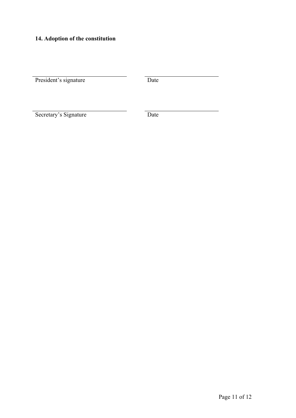# **14. Adoption of the constitution**

President's signature Date

Secretary's Signature Date